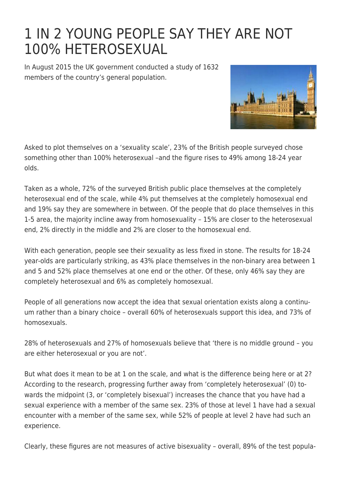## [1 IN 2 YOUNG PEOPLE SAY THEY ARE NOT](https://exgaycalling.com/2016/01/17/1-in-2-young-people-say-they-are-not-100-heterosexual/) [100% HETEROSEXUAL](https://exgaycalling.com/2016/01/17/1-in-2-young-people-say-they-are-not-100-heterosexual/)

In August 2015 the UK government conducted a study of 1632 members of the country's general population.



Asked to plot themselves on a 'sexuality scale', 23% of the British people surveyed chose something other than 100% heterosexual –and the figure rises to 49% among 18-24 year olds.

Taken as a whole, 72% of the surveyed British public place themselves at the completely heterosexual end of the scale, while 4% put themselves at the completely homosexual end and 19% say they are somewhere in between. Of the people that do place themselves in this 1-5 area, the majority incline away from homosexuality – 15% are closer to the heterosexual end, 2% directly in the middle and 2% are closer to the homosexual end.

With each generation, people see their sexuality as less fixed in stone. The results for 18-24 year-olds are particularly striking, as 43% place themselves in the non-binary area between 1 and 5 and 52% place themselves at one end or the other. Of these, only 46% say they are completely heterosexual and 6% as completely homosexual.

People of all generations now accept the idea that sexual orientation exists along a continuum rather than a binary choice – overall 60% of heterosexuals support this idea, and 73% of homosexuals.

28% of heterosexuals and 27% of homosexuals believe that 'there is no middle ground – you are either heterosexual or you are not'.

But what does it mean to be at 1 on the scale, and what is the difference being here or at 2? According to the research, progressing further away from 'completely heterosexual' (0) towards the midpoint (3, or 'completely bisexual') increases the chance that you have had a sexual experience with a member of the same sex. 23% of those at level 1 have had a sexual encounter with a member of the same sex, while 52% of people at level 2 have had such an experience.

Clearly, these figures are not measures of active bisexuality – overall, 89% of the test popula-